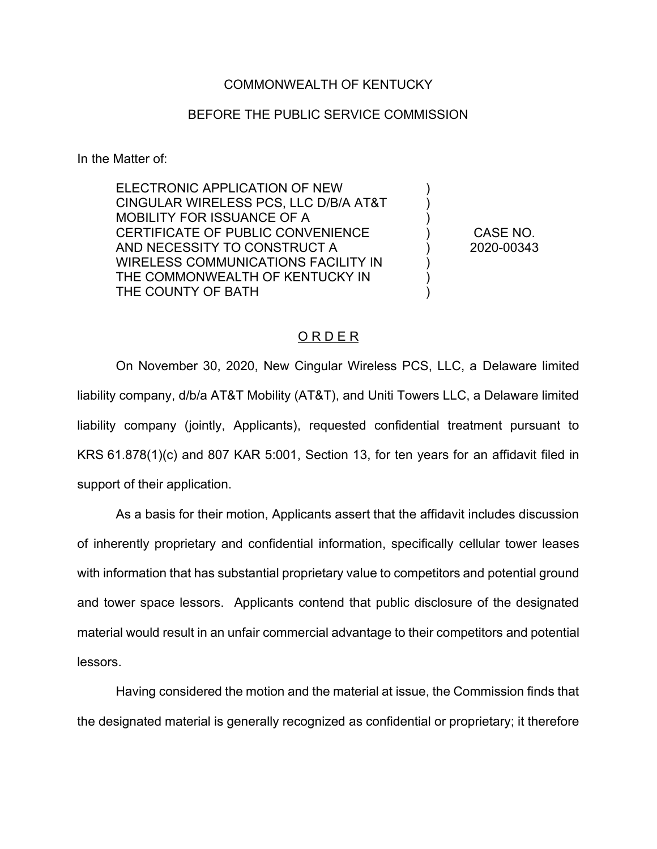## COMMONWEALTH OF KENTUCKY

## BEFORE THE PUBLIC SERVICE COMMISSION

In the Matter of:

ELECTRONIC APPLICATION OF NEW CINGULAR WIRELESS PCS, LLC D/B/A AT&T MOBILITY FOR ISSUANCE OF A CERTIFICATE OF PUBLIC CONVENIENCE AND NECESSITY TO CONSTRUCT A WIRELESS COMMUNICATIONS FACILITY IN THE COMMONWEALTH OF KENTUCKY IN THE COUNTY OF BATH

CASE NO. 2020-00343

) ) ) ) ) ) ) )

## O R D E R

On November 30, 2020, New Cingular Wireless PCS, LLC, a Delaware limited liability company, d/b/a AT&T Mobility (AT&T), and Uniti Towers LLC, a Delaware limited liability company (jointly, Applicants), requested confidential treatment pursuant to KRS 61.878(1)(c) and 807 KAR 5:001, Section 13, for ten years for an affidavit filed in support of their application.

As a basis for their motion, Applicants assert that the affidavit includes discussion of inherently proprietary and confidential information, specifically cellular tower leases with information that has substantial proprietary value to competitors and potential ground and tower space lessors. Applicants contend that public disclosure of the designated material would result in an unfair commercial advantage to their competitors and potential lessors.

Having considered the motion and the material at issue, the Commission finds that the designated material is generally recognized as confidential or proprietary; it therefore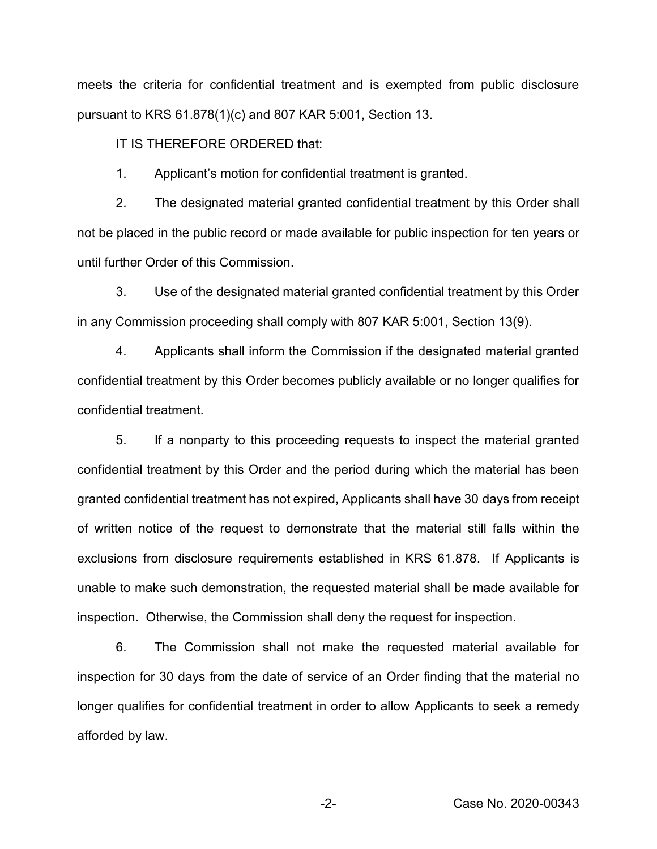meets the criteria for confidential treatment and is exempted from public disclosure pursuant to KRS 61.878(1)(c) and 807 KAR 5:001, Section 13.

IT IS THEREFORE ORDERED that:

1. Applicant's motion for confidential treatment is granted.

2. The designated material granted confidential treatment by this Order shall not be placed in the public record or made available for public inspection for ten years or until further Order of this Commission.

3. Use of the designated material granted confidential treatment by this Order in any Commission proceeding shall comply with 807 KAR 5:001, Section 13(9).

4. Applicants shall inform the Commission if the designated material granted confidential treatment by this Order becomes publicly available or no longer qualifies for confidential treatment.

5. If a nonparty to this proceeding requests to inspect the material granted confidential treatment by this Order and the period during which the material has been granted confidential treatment has not expired, Applicants shall have 30 days from receipt of written notice of the request to demonstrate that the material still falls within the exclusions from disclosure requirements established in KRS 61.878. If Applicants is unable to make such demonstration, the requested material shall be made available for inspection. Otherwise, the Commission shall deny the request for inspection.

6. The Commission shall not make the requested material available for inspection for 30 days from the date of service of an Order finding that the material no longer qualifies for confidential treatment in order to allow Applicants to seek a remedy afforded by law.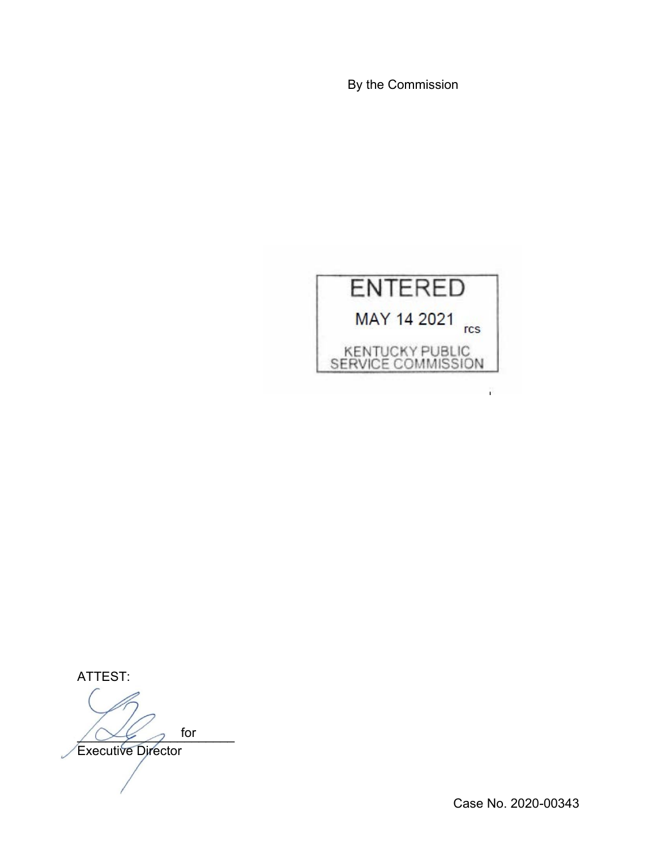By the Commission



ATTEST:  $\sqrt{2\epsilon}$  for Executive Director for

Case No. 2020-00343